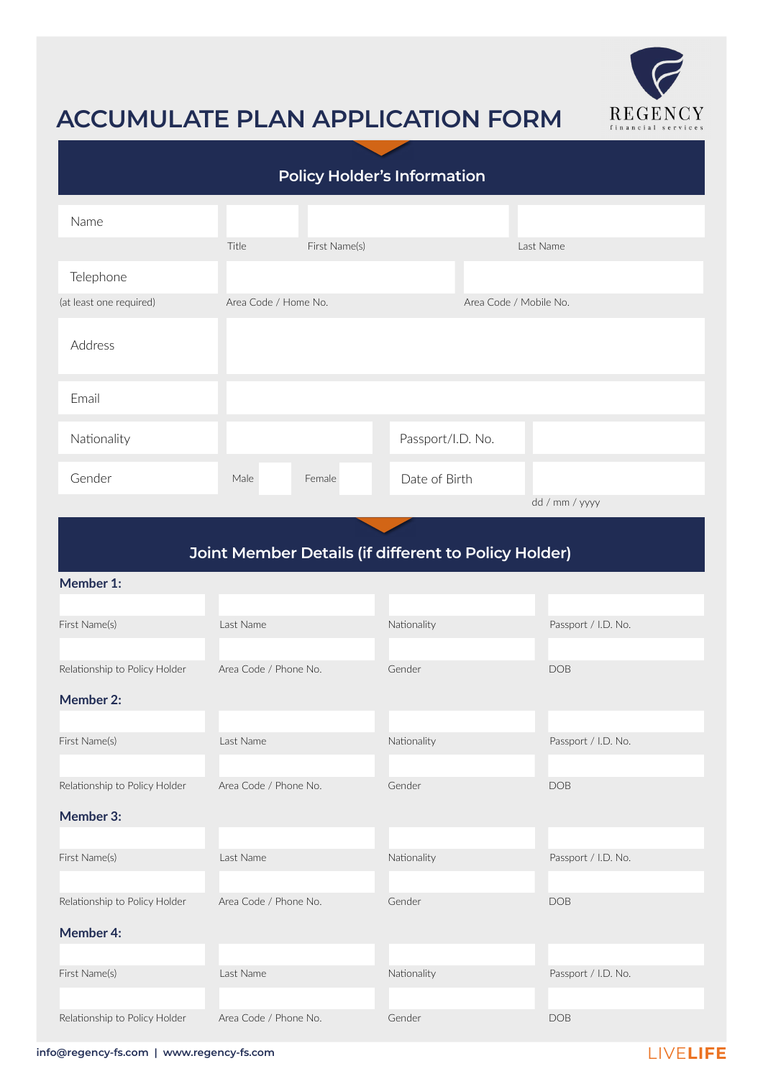

# **ACCUMULATE PLAN APPLICATION FORM**

| <b>Policy Holder's Information</b> |                      |               |                   |                        |                |
|------------------------------------|----------------------|---------------|-------------------|------------------------|----------------|
| Name                               |                      |               |                   |                        |                |
|                                    | Title                | First Name(s) |                   |                        | Last Name      |
| Telephone                          |                      |               |                   |                        |                |
| (at least one required)            | Area Code / Home No. |               |                   | Area Code / Mobile No. |                |
| Address                            |                      |               |                   |                        |                |
| Email                              |                      |               |                   |                        |                |
| Nationality                        |                      |               | Passport/I.D. No. |                        |                |
| Gender                             | Male                 | Female        | Date of Birth     |                        |                |
|                                    |                      |               |                   |                        | dd / mm / yyyy |

## **Joint Member Details (if different to Policy Holder)**

#### **Member 1:**

| First Name(s)                 | Last Name             | Nationality | Passport / I.D. No. |
|-------------------------------|-----------------------|-------------|---------------------|
|                               |                       |             |                     |
| Relationship to Policy Holder | Area Code / Phone No. | Gender      | <b>DOB</b>          |
| <b>Member 2:</b>              |                       |             |                     |
|                               |                       |             |                     |
| First Name(s)                 | Last Name             | Nationality | Passport / I.D. No. |
|                               |                       |             |                     |
| Relationship to Policy Holder | Area Code / Phone No. | Gender      | <b>DOB</b>          |
| Member 3:                     |                       |             |                     |
|                               |                       |             |                     |
| First Name(s)                 | Last Name             | Nationality | Passport / I.D. No. |
|                               |                       |             |                     |
| Relationship to Policy Holder | Area Code / Phone No. | Gender      | <b>DOB</b>          |
| <b>Member 4:</b>              |                       |             |                     |
|                               |                       |             |                     |
| First Name(s)                 | Last Name             | Nationality | Passport / I.D. No. |
|                               |                       |             |                     |
| Relationship to Policy Holder | Area Code / Phone No. | Gender      | <b>DOB</b>          |